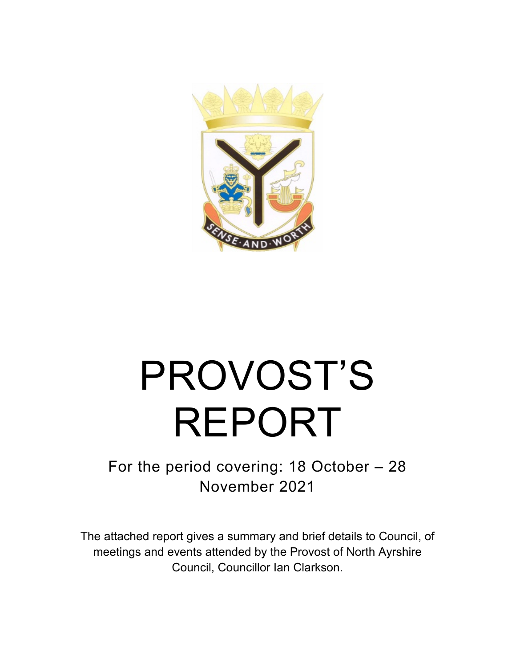

# PROVOST'S REPORT

## For the period covering: 18 October – 28 November 2021

The attached report gives a summary and brief details to Council, of meetings and events attended by the Provost of North Ayrshire Council, Councillor Ian Clarkson.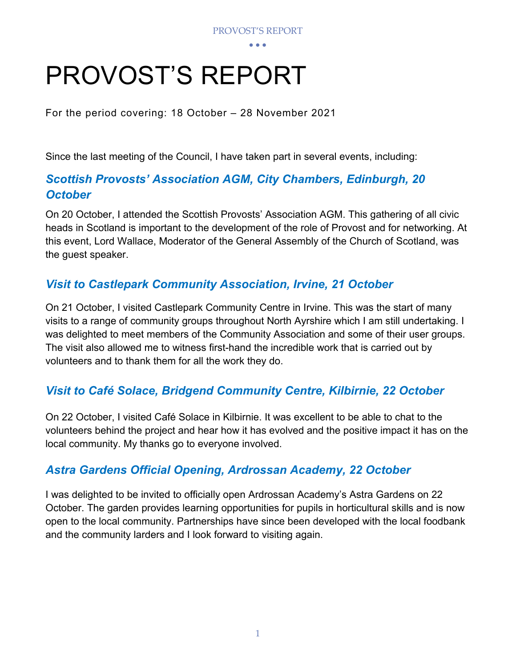## PROVOST'S REPORT

For the period covering: 18 October – 28 November 2021

Since the last meeting of the Council, I have taken part in several events, including:

## *Scottish Provosts' Association AGM, City Chambers, Edinburgh, 20 October*

On 20 October, I attended the Scottish Provosts' Association AGM. This gathering of all civic heads in Scotland is important to the development of the role of Provost and for networking. At this event, Lord Wallace, Moderator of the General Assembly of the Church of Scotland, was the guest speaker.

## *Visit to Castlepark Community Association, Irvine, 21 October*

On 21 October, I visited Castlepark Community Centre in Irvine. This was the start of many visits to a range of community groups throughout North Ayrshire which I am still undertaking. I was delighted to meet members of the Community Association and some of their user groups. The visit also allowed me to witness first-hand the incredible work that is carried out by volunteers and to thank them for all the work they do.

## *Visit to Café Solace, Bridgend Community Centre, Kilbirnie, 22 October*

On 22 October, I visited Café Solace in Kilbirnie. It was excellent to be able to chat to the volunteers behind the project and hear how it has evolved and the positive impact it has on the local community. My thanks go to everyone involved.

## *Astra Gardens Official Opening, Ardrossan Academy, 22 October*

I was delighted to be invited to officially open Ardrossan Academy's Astra Gardens on 22 October. The garden provides learning opportunities for pupils in horticultural skills and is now open to the local community. Partnerships have since been developed with the local foodbank and the community larders and I look forward to visiting again.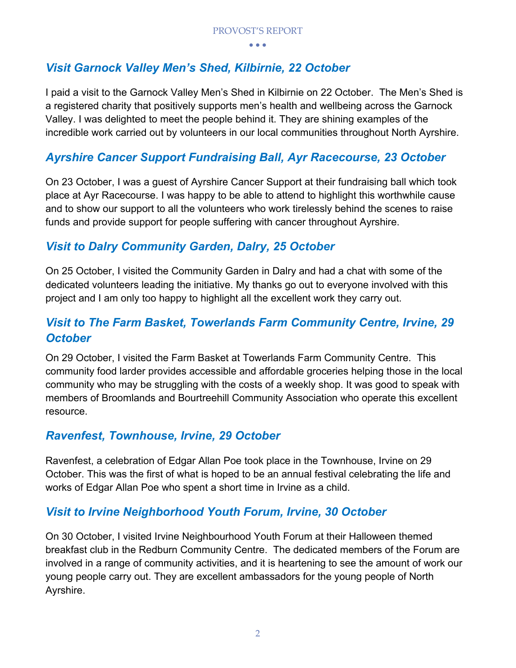## *Visit Garnock Valley Men's Shed, Kilbirnie, 22 October*

I paid a visit to the Garnock Valley Men's Shed in Kilbirnie on 22 October. The Men's Shed is a registered charity that positively supports men's health and wellbeing across the Garnock Valley. I was delighted to meet the people behind it. They are shining examples of the incredible work carried out by volunteers in our local communities throughout North Ayrshire.

## *Ayrshire Cancer Support Fundraising Ball, Ayr Racecourse, 23 October*

On 23 October, I was a guest of Ayrshire Cancer Support at their fundraising ball which took place at Ayr Racecourse. I was happy to be able to attend to highlight this worthwhile cause and to show our support to all the volunteers who work tirelessly behind the scenes to raise funds and provide support for people suffering with cancer throughout Ayrshire.

## *Visit to Dalry Community Garden, Dalry, 25 October*

On 25 October, I visited the Community Garden in Dalry and had a chat with some of the dedicated volunteers leading the initiative. My thanks go out to everyone involved with this project and I am only too happy to highlight all the excellent work they carry out.

## *Visit to The Farm Basket, Towerlands Farm Community Centre, Irvine, 29 October*

On 29 October, I visited the Farm Basket at Towerlands Farm Community Centre. This community food larder provides accessible and affordable groceries helping those in the local community who may be struggling with the costs of a weekly shop. It was good to speak with members of Broomlands and Bourtreehill Community Association who operate this excellent resource.

## *Ravenfest, Townhouse, Irvine, 29 October*

Ravenfest, a celebration of Edgar Allan Poe took place in the Townhouse, Irvine on 29 October. This was the first of what is hoped to be an annual festival celebrating the life and works of Edgar Allan Poe who spent a short time in Irvine as a child.

## *Visit to Irvine Neighborhood Youth Forum, Irvine, 30 October*

On 30 October, I visited Irvine Neighbourhood Youth Forum at their Halloween themed breakfast club in the Redburn Community Centre. The dedicated members of the Forum are involved in a range of community activities, and it is heartening to see the amount of work our young people carry out. They are excellent ambassadors for the young people of North Ayrshire.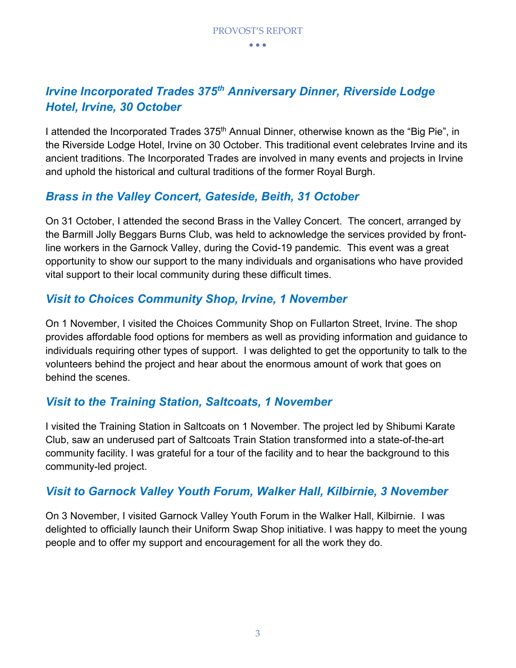## *Irvine Incorporated Trades 375th Anniversary Dinner, Riverside Lodge Hotel, Irvine, 30 October*

I attended the Incorporated Trades 375<sup>th</sup> Annual Dinner, otherwise known as the "Big Pie", in the Riverside Lodge Hotel, Irvine on 30 October. This traditional event celebrates Irvine and its ancient traditions. The Incorporated Trades are involved in many events and projects in Irvine and uphold the historical and cultural traditions of the former Royal Burgh.

## *Brass in the Valley Concert, Gateside, Beith, 31 October*

On 31 October, I attended the second Brass in the Valley Concert. The concert, arranged by the Barmill Jolly Beggars Burns Club, was held to acknowledge the services provided by frontline workers in the Garnock Valley, during the Covid-19 pandemic. This event was a great opportunity to show our support to the many individuals and organisations who have provided vital support to their local community during these difficult times.

## *Visit to Choices Community Shop, Irvine, 1 November*

On 1 November, I visited the Choices Community Shop on Fullarton Street, Irvine. The shop provides affordable food options for members as well as providing information and guidance to individuals requiring other types of support. I was delighted to get the opportunity to talk to the volunteers behind the project and hear about the enormous amount of work that goes on behind the scenes.

## *Visit to the Training Station, Saltcoats, 1 November*

I visited the Training Station in Saltcoats on 1 November. The project led by Shibumi Karate Club, saw an underused part of Saltcoats Train Station transformed into a state-of-the-art community facility. I was grateful for a tour of the facility and to hear the background to this community-led project.

## *Visit to Garnock Valley Youth Forum, Walker Hall, Kilbirnie, 3 November*

On 3 November, I visited Garnock Valley Youth Forum in the Walker Hall, Kilbirnie. I was delighted to officially launch their Uniform Swap Shop initiative. I was happy to meet the young people and to offer my support and encouragement for all the work they do.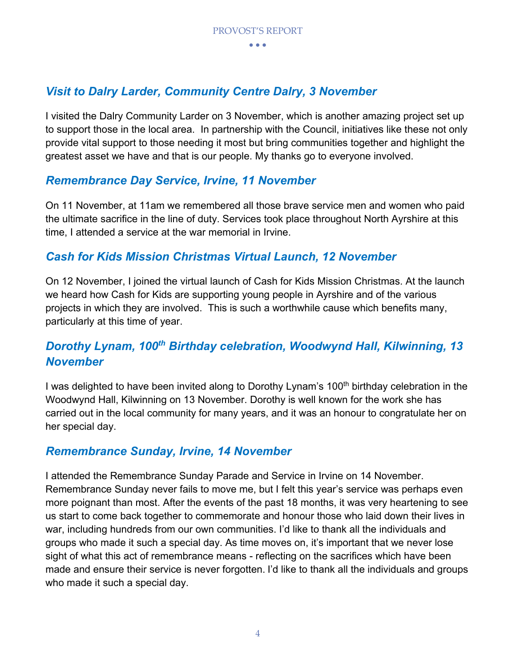## *Visit to Dalry Larder, Community Centre Dalry, 3 November*

I visited the Dalry Community Larder on 3 November, which is another amazing project set up to support those in the local area. In partnership with the Council, initiatives like these not only provide vital support to those needing it most but bring communities together and highlight the greatest asset we have and that is our people. My thanks go to everyone involved.

## *Remembrance Day Service, Irvine, 11 November*

On 11 November, at 11am we remembered all those brave service men and women who paid the ultimate sacrifice in the line of duty. Services took place throughout North Ayrshire at this time, I attended a service at the war memorial in Irvine.

## *Cash for Kids Mission Christmas Virtual Launch, 12 November*

On 12 November, I joined the virtual launch of Cash for Kids Mission Christmas. At the launch we heard how Cash for Kids are supporting young people in Ayrshire and of the various projects in which they are involved. This is such a worthwhile cause which benefits many, particularly at this time of year.

## *Dorothy Lynam, 100th Birthday celebration, Woodwynd Hall, Kilwinning, 13 November*

I was delighted to have been invited along to Dorothy Lynam's 100<sup>th</sup> birthday celebration in the Woodwynd Hall, Kilwinning on 13 November. Dorothy is well known for the work she has carried out in the local community for many years, and it was an honour to congratulate her on her special day.

## *Remembrance Sunday, Irvine, 14 November*

I attended the Remembrance Sunday Parade and Service in Irvine on 14 November. Remembrance Sunday never fails to move me, but I felt this year's service was perhaps even more poignant than most. After the events of the past 18 months, it was very heartening to see us start to come back together to commemorate and honour those who laid down their lives in war, including hundreds from our own communities. I'd like to thank all the individuals and groups who made it such a special day. As time moves on, it's important that we never lose sight of what this act of remembrance means - reflecting on the sacrifices which have been made and ensure their service is never forgotten. I'd like to thank all the individuals and groups who made it such a special day.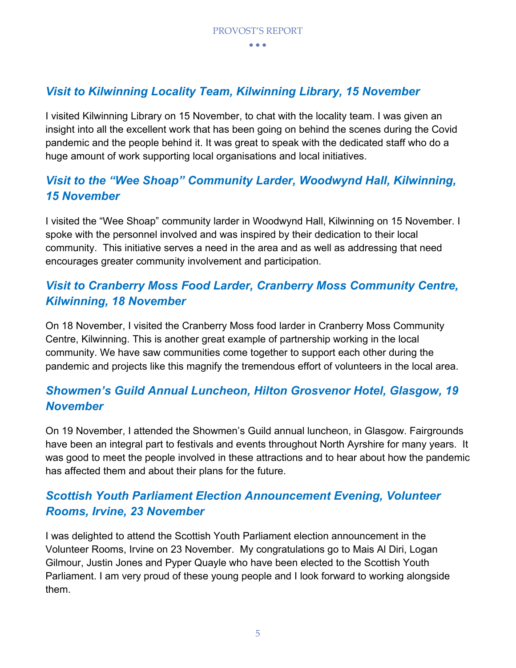## *Visit to Kilwinning Locality Team, Kilwinning Library, 15 November*

I visited Kilwinning Library on 15 November, to chat with the locality team. I was given an insight into all the excellent work that has been going on behind the scenes during the Covid pandemic and the people behind it. It was great to speak with the dedicated staff who do a huge amount of work supporting local organisations and local initiatives.

## *Visit to the "Wee Shoap" Community Larder, Woodwynd Hall, Kilwinning, 15 November*

I visited the "Wee Shoap" community larder in Woodwynd Hall, Kilwinning on 15 November. I spoke with the personnel involved and was inspired by their dedication to their local community. This initiative serves a need in the area and as well as addressing that need encourages greater community involvement and participation.

## *Visit to Cranberry Moss Food Larder, Cranberry Moss Community Centre, Kilwinning, 18 November*

On 18 November, I visited the Cranberry Moss food larder in Cranberry Moss Community Centre, Kilwinning. This is another great example of partnership working in the local community. We have saw communities come together to support each other during the pandemic and projects like this magnify the tremendous effort of volunteers in the local area.

## *Showmen's Guild Annual Luncheon, Hilton Grosvenor Hotel, Glasgow, 19 November*

On 19 November, I attended the Showmen's Guild annual luncheon, in Glasgow. Fairgrounds have been an integral part to festivals and events throughout North Ayrshire for many years. It was good to meet the people involved in these attractions and to hear about how the pandemic has affected them and about their plans for the future.

## *Scottish Youth Parliament Election Announcement Evening, Volunteer Rooms, Irvine, 23 November*

I was delighted to attend the Scottish Youth Parliament election announcement in the Volunteer Rooms, Irvine on 23 November. My congratulations go to Mais Al Diri, Logan Gilmour, Justin Jones and Pyper Quayle who have been elected to the Scottish Youth Parliament. I am very proud of these young people and I look forward to working alongside them.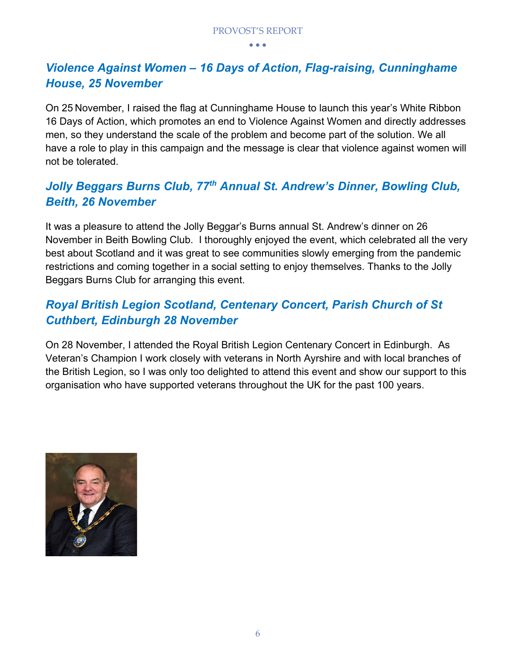## *Violence Against Women – 16 Days of Action, Flag-raising, Cunninghame House, 25 November*

On 25 November, I raised the flag at Cunninghame House to launch this year's White Ribbon 16 Days of Action, which promotes an end to Violence Against Women and directly addresses men, so they understand the scale of the problem and become part of the solution. We all have a role to play in this campaign and the message is clear that violence against women will not be tolerated.

## *Jolly Beggars Burns Club, 77th Annual St. Andrew's Dinner, Bowling Club, Beith, 26 November*

It was a pleasure to attend the Jolly Beggar's Burns annual St. Andrew's dinner on 26 November in Beith Bowling Club. I thoroughly enjoyed the event, which celebrated all the very best about Scotland and it was great to see communities slowly emerging from the pandemic restrictions and coming together in a social setting to enjoy themselves. Thanks to the Jolly Beggars Burns Club for arranging this event.

## *Royal British Legion Scotland, Centenary Concert, Parish Church of St Cuthbert, Edinburgh 28 November*

On 28 November, I attended the Royal British Legion Centenary Concert in Edinburgh. As Veteran's Champion I work closely with veterans in North Ayrshire and with local branches of the British Legion, so I was only too delighted to attend this event and show our support to this organisation who have supported veterans throughout the UK for the past 100 years.